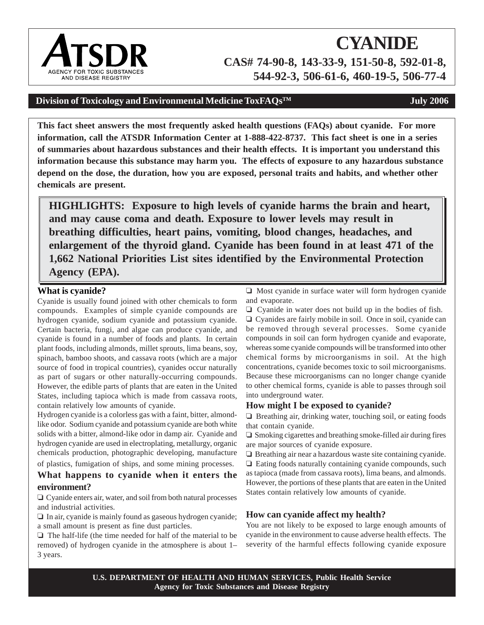# **CYANIDE CAS# 74-90-8, 143-33-9, 151-50-8, 592-01-8, 544-92-3, 506-61-6, 460-19-5, 506-77-4**

# Division of Toxicology and Environmental Medicine ToxFAQs<sup>TM</sup> **July 2006**

**This fact sheet answers the most frequently asked health questions (FAQs) about cyanide. For more information, call the ATSDR Information Center at 1-888-422-8737. This fact sheet is one in a series of summaries about hazardous substances and their health effects. It is important you understand this information because this substance may harm you. The effects of exposure to any hazardous substance depend on the dose, the duration, how you are exposed, personal traits and habits, and whether other chemicals are present.** 

**HIGHLIGHTS: Exposure to high levels of cyanide harms the brain and heart, and may cause coma and death. Exposure to lower levels may result in breathing difficulties, heart pains, vomiting, blood changes, headaches, and enlargement of the thyroid gland. Cyanide has been found in at least 471 of the 1,662 National Priorities List sites identified by the Environmental Protection Agency (EPA).** 

#### **What is cyanide?**

Cyanide is usually found joined with other chemicals to form compounds. Examples of simple cyanide compounds are hydrogen cyanide, sodium cyanide and potassium cyanide. Certain bacteria, fungi, and algae can produce cyanide, and cyanide is found in a number of foods and plants. In certain plant foods, including almonds, millet sprouts, lima beans, soy, spinach, bamboo shoots, and cassava roots (which are a major source of food in tropical countries), cyanides occur naturally as part of sugars or other naturally-occurring compounds. However, the edible parts of plants that are eaten in the United States, including tapioca which is made from cassava roots, contain relatively low amounts of cyanide.

Hydrogen cyanide is a colorless gas with a faint, bitter, almondlike odor. Sodium cyanide and potassium cyanide are both white solids with a bitter, almond-like odor in damp air. Cyanide and hydrogen cyanide are used in electroplating, metallurgy, organic chemicals production, photographic developing, manufacture

of plastics, fumigation of ships, and some mining processes.

# **What happens to cyanide when it enters the environment?**

 $\Box$  Cyanide enters air, water, and soil from both natural processes and industrial activities.

 $\Box$  In air, cyanide is mainly found as gaseous hydrogen cyanide; a small amount is present as fine dust particles.

 $\Box$  The half-life (the time needed for half of the material to be removed) of hydrogen cyanide in the atmosphere is about 1– 3 years.

 $\Box$  Most cyanide in surface water will form hydrogen cyanide and evaporate.

 $\Box$  Cyanide in water does not build up in the bodies of fish.  $\Box$  Cyanides are fairly mobile in soil. Once in soil, cyanide can be removed through several processes. Some cyanide compounds in soil can form hydrogen cyanide and evaporate, whereas some cyanide compounds will be transformed into other chemical forms by microorganisms in soil. At the high concentrations, cyanide becomes toxic to soil microorganisms. Because these microorganisms can no longer change cyanide to other chemical forms, cyanide is able to passes through soil into underground water.

#### **How might I be exposed to cyanide?**

 $\Box$  Breathing air, drinking water, touching soil, or eating foods that contain cyanide.

 $\Box$  Smoking cigarettes and breathing smoke-filled air during fires are major sources of cyanide exposure.

 $\Box$  Breathing air near a hazardous waste site containing cyanide.  $\Box$  Eating foods naturally containing cyanide compounds, such as tapioca (made from cassava roots), lima beans, and almonds. However, the portions of these plants that are eaten in the United States contain relatively low amounts of cyanide.

# **How can cyanide affect my health?**

You are not likely to be exposed to large enough amounts of cyanide in the environment to cause adverse health effects. The severity of the harmful effects following cyanide exposure